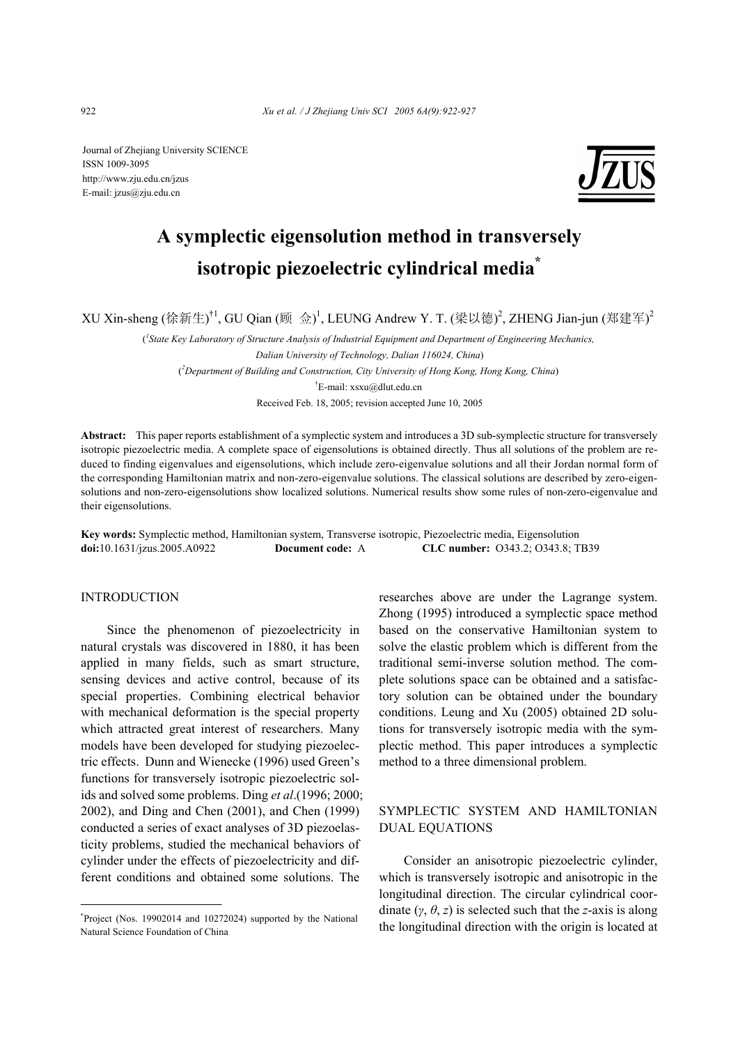Journal of Zhejiang University SCIENCE ISSN 1009-3095 http://www.zju.edu.cn/jzus E-mail: jzus@zju.edu.cn



# **A symplectic eigensolution method in transversely isotropic piezoelectric cylindrical media\***

XU Xin-sheng (徐新生)<sup>†1</sup>, GU Qian (顾 佥)<sup>1</sup>, LEUNG Andrew Y. T. (梁以德)<sup>2</sup>, ZHENG Jian-jun (郑建军)<sup>2</sup>

<sup>*l*</sup> State Key Laboratory of Structure Analysis of Industrial Equipment and Department of Engineering Mechanics,  *Dalian University of Technology, Dalian 116024, China*) ( *2 Department of Building and Construction, City University of Hong Kong, Hong Kong, China*) † E-mail: xsxu@dlut.edu.cn

Received Feb. 18, 2005; revision accepted June 10, 2005

**Abstract:** This paper reports establishment of a symplectic system and introduces a 3D sub-symplectic structure for transversely isotropic piezoelectric media. A complete space of eigensolutions is obtained directly. Thus all solutions of the problem are reduced to finding eigenvalues and eigensolutions, which include zero-eigenvalue solutions and all their Jordan normal form of the corresponding Hamiltonian matrix and non-zero-eigenvalue solutions. The classical solutions are described by zero-eigensolutions and non-zero-eigensolutions show localized solutions. Numerical results show some rules of non-zero-eigenvalue and their eigensolutions.

**Key words:** Symplectic method, Hamiltonian system, Transverse isotropic, Piezoelectric media, Eigensolution **doi:**10.1631/jzus.2005.A0922 **Document code:** A **CLC number:** O343.2; O343.8; TB39

## INTRODUCTION

Since the phenomenon of piezoelectricity in natural crystals was discovered in 1880, it has been applied in many fields, such as smart structure, sensing devices and active control, because of its special properties. Combining electrical behavior with mechanical deformation is the special property which attracted great interest of researchers. Many models have been developed for studying piezoelectric effects. Dunn and Wienecke (1996) used Green's functions for transversely isotropic piezoelectric solids and solved some problems. Ding *et al*.(1996; 2000; 2002), and Ding and Chen (2001), and Chen (1999) conducted a series of exact analyses of 3D piezoelasticity problems, studied the mechanical behaviors of cylinder under the effects of piezoelectricity and different conditions and obtained some solutions. The

researches above are under the Lagrange system. Zhong (1995) introduced a symplectic space method based on the conservative Hamiltonian system to solve the elastic problem which is different from the traditional semi-inverse solution method. The complete solutions space can be obtained and a satisfactory solution can be obtained under the boundary conditions. Leung and Xu (2005) obtained 2D solutions for transversely isotropic media with the symplectic method. This paper introduces a symplectic method to a three dimensional problem.

# SYMPLECTIC SYSTEM AND HAMILTONIAN DUAL EQUATIONS

Consider an anisotropic piezoelectric cylinder, which is transversely isotropic and anisotropic in the longitudinal direction. The circular cylindrical coordinate  $(\gamma, \theta, z)$  is selected such that the *z*-axis is along the longitudinal direction with the origin is located at

<sup>\*</sup> Project (Nos. 19902014 and 10272024) supported by the National Natural Science Foundation of China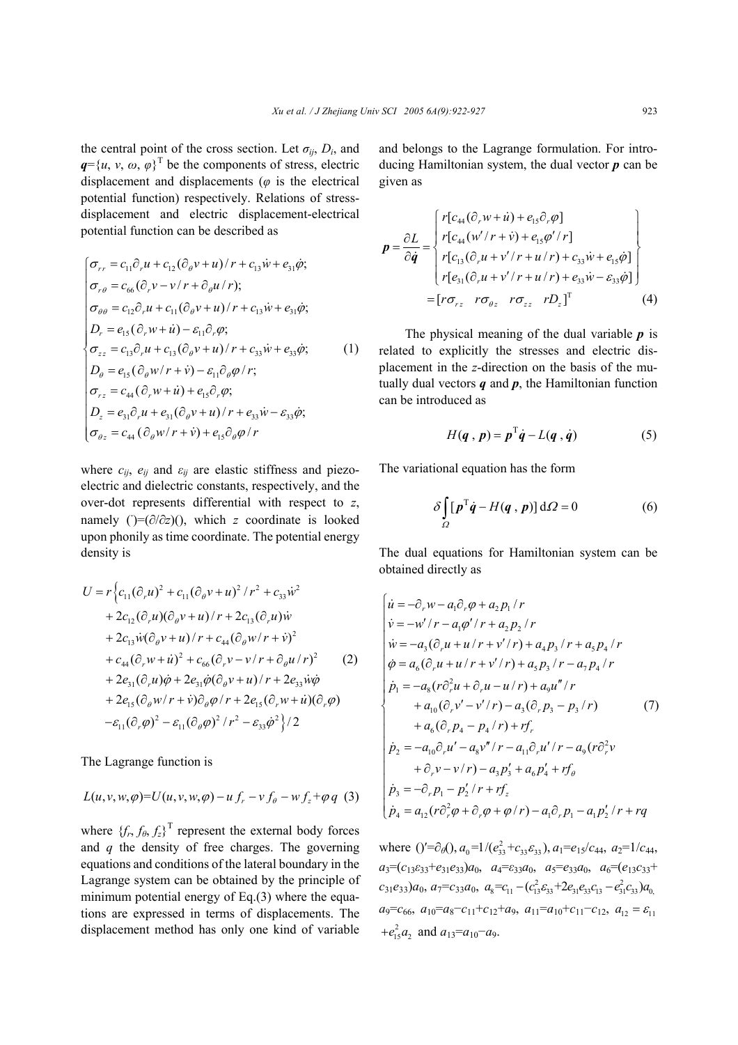the central point of the cross section. Let  $\sigma_{ij}$ ,  $D_i$ , and  $q = \{u, v, \omega, \varphi\}^T$  be the components of stress, electric displacement and displacements (*φ* is the electrical potential function) respectively. Relations of stressdisplacement and electric displacement-electrical potential function can be described as

$$
\begin{cases}\n\sigma_{rr} = c_{11}\partial_r u + c_{12}(\partial_\theta v + u)/r + c_{13}\dot{w} + e_{31}\dot{\phi}; \\
\sigma_{r\theta} = c_{66}(\partial_r v - v/r + \partial_\theta u/r); \\
\sigma_{\theta\theta} = c_{12}\partial_r u + c_{11}(\partial_\theta v + u)/r + c_{13}\dot{w} + e_{31}\dot{\phi}; \\
D_r = e_{15}(\partial_r w + \dot{u}) - \varepsilon_{11}\partial_r \varphi; \\
\sigma_{zz} = c_{13}\partial_r u + c_{13}(\partial_\theta v + u)/r + c_{33}\dot{w} + e_{33}\dot{\varphi}; \\
D_\theta = e_{15}(\partial_\theta w/r + \dot{v}) - \varepsilon_{11}\partial_\theta \varphi/r; \\
\sigma_{rz} = c_{44}(\partial_r w + \dot{u}) + e_{15}\partial_r \varphi; \\
D_z = e_{31}\partial_r u + e_{31}(\partial_\theta v + u)/r + e_{33}\dot{w} - \varepsilon_{33}\dot{\varphi}; \\
\sigma_{\theta z} = c_{44}(\partial_\theta w/r + \dot{v}) + e_{15}\partial_\theta \varphi/r\n\end{cases} (1)
$$

where  $c_{ij}$ ,  $e_{ij}$  and  $\varepsilon_{ij}$  are elastic stiffness and piezoelectric and dielectric constants, respectively, and the over-dot represents differential with respect to *z*, namely  $\hat{U} = (\partial/\partial z)(t)$ , which *z* coordinate is looked upon phonily as time coordinate. The potential energy density is

$$
U = r \Big\{ c_{11} (\partial_r u)^2 + c_{11} (\partial_\theta v + u)^2 / r^2 + c_{33} \dot{w}^2 + 2c_{12} (\partial_r u) (\partial_\theta v + u) / r + 2c_{13} (\partial_r u) \dot{w} + 2c_{13} \dot{w} (\partial_\theta v + u) / r + c_{44} (\partial_\theta w / r + \dot{v})^2 + c_{44} (\partial_r w + u)^2 + c_{66} (\partial_r v - v / r + \partial_\theta u / r)^2 + 2e_{31} (\partial_r u) \dot{\varphi} + 2e_{31} \dot{\varphi} (\partial_\theta v + u) / r + 2e_{33} \dot{w} \dot{\varphi} + 2e_{15} (\partial_\theta w / r + \dot{v}) \partial_\theta \varphi / r + 2e_{15} (\partial_r w + \dot{u}) (\partial_r \varphi) - \varepsilon_{11} (\partial_r \varphi)^2 - \varepsilon_{11} (\partial_\theta \varphi)^2 / r^2 - \varepsilon_{33} \dot{\varphi}^2 \Big\} / 2
$$

The Lagrange function is

$$
L(u,v,w,\varphi){=}U(u,v,w,\varphi)-u\,f_{r}-v\,f_{\theta}-wf_{z}{+}\varphi\,q\,\,\,(3)
$$

where  ${f_r, f_\theta, f_z}^T$  represent the external body forces and *q* the density of free charges. The governing equations and conditions of the lateral boundary in the Lagrange system can be obtained by the principle of minimum potential energy of Eq.(3) where the equations are expressed in terms of displacements. The displacement method has only one kind of variable

and belongs to the Lagrange formulation. For introducing Hamiltonian system, the dual vector *p* can be given as

$$
\mathbf{p} = \frac{\partial L}{\partial \dot{q}} = \begin{bmatrix} r[c_{44}(\partial_r w + \dot{u}) + e_{15}\partial_r \varphi] \\ r[c_{44}(w'/r + \dot{v}) + e_{15}\varphi'/r] \\ r[c_{13}(\partial_r u + v'/r + u/r) + c_{33}\dot{w} + e_{15}\dot{\varphi}] \\ r[e_{31}(\partial_r u + v'/r + u/r) + e_{33}\dot{w} - \varepsilon_{33}\dot{\varphi}] \end{bmatrix}
$$

$$
= [r\sigma_{rz} \quad r\sigma_{\varrho z} \quad r\sigma_{zz} \quad rD_z]^T \tag{4}
$$

The physical meaning of the dual variable *p* is related to explicitly the stresses and electric displacement in the *z*-direction on the basis of the mutually dual vectors *q* and *p*, the Hamiltonian function can be introduced as

$$
H(q, p) = pT \dot{q} - L(q, \dot{q})
$$
 (5)

The variational equation has the form

$$
\delta \int_{\Omega} [p^{\mathrm{T}} \dot{q} - H(q, p)] \, d\Omega = 0 \tag{6}
$$

The dual equations for Hamiltonian system can be obtained directly as

$$
\begin{cases}\n\dot{u} = -\partial_r w - a_1 \partial_r \varphi + a_2 p_1 / r \\
\dot{v} = -w' / r - a_1 \varphi' / r + a_2 p_2 / r \\
\dot{w} = -a_3 (\partial_r u + u / r + v' / r) + a_4 p_3 / r + a_5 p_4 / r \\
\dot{\varphi} = a_6 (\partial_r u + u / r + v' / r) + a_5 p_3 / r - a_7 p_4 / r \\
\dot{p}_1 = -a_8 (r \partial_r^2 u + \partial_r u - u / r) + a_9 u'' / r \\
+ a_{10} (\partial_r v' - v' / r) - a_3 (\partial_r p_3 - p_3 / r) \\
+ a_6 (\partial_r p_4 - p_4 / r) + rf_r \\
\dot{p}_2 = -a_{10} \partial_r u' - a_8 v'' / r - a_{11} \partial_r u' / r - a_9 (r \partial_r^2 v \\
+ \partial_r v - v / r) - a_3 p'_3 + a_6 p'_4 + rf_\theta \\
\dot{p}_3 = -\partial_r p_1 - p'_2 / r + rf_z \\
\dot{p}_4 = a_{12} (r \partial_r^2 \varphi + \partial_r \varphi + \varphi / r) - a_1 \partial_r p_1 - a_1 p'_2 / r + rq\n\end{cases}
$$

where  $() = \partial_{\theta}()$ ,  $a_0 = 1/(e_{33}^2 + c_{33}e_{33}), a_1 = e_{15}/c_{44}, a_2 = 1/c_{44},$  $a_3 = (c_{13}c_{33} + e_{31}e_{33})a_0$ ,  $a_4 = c_{33}a_0$ ,  $a_5 = e_{33}a_0$ ,  $a_6 = (e_{13}c_{33} + e_{31}e_{33})a_0$  $c_{31}e_{33}$ )*a*<sub>0</sub>,  $a_{7}=c_{33}a_{0}$ ,  $a_{8}=c_{11}-(c_{13}^{2}c_{33}+2e_{31}e_{33}c_{13}-e_{31}^{2}c_{33})a_{0}$  $a_9 = c_{66}$ ,  $a_{10} = a_8 - c_{11} + c_{12} + a_9$ ,  $a_{11} = a_{10} + c_{11} - c_{12}$ ,  $a_{12} = \varepsilon_{11}$  $+e_{15}^2a_2$  and  $a_{13}=a_{10}-a_9$ .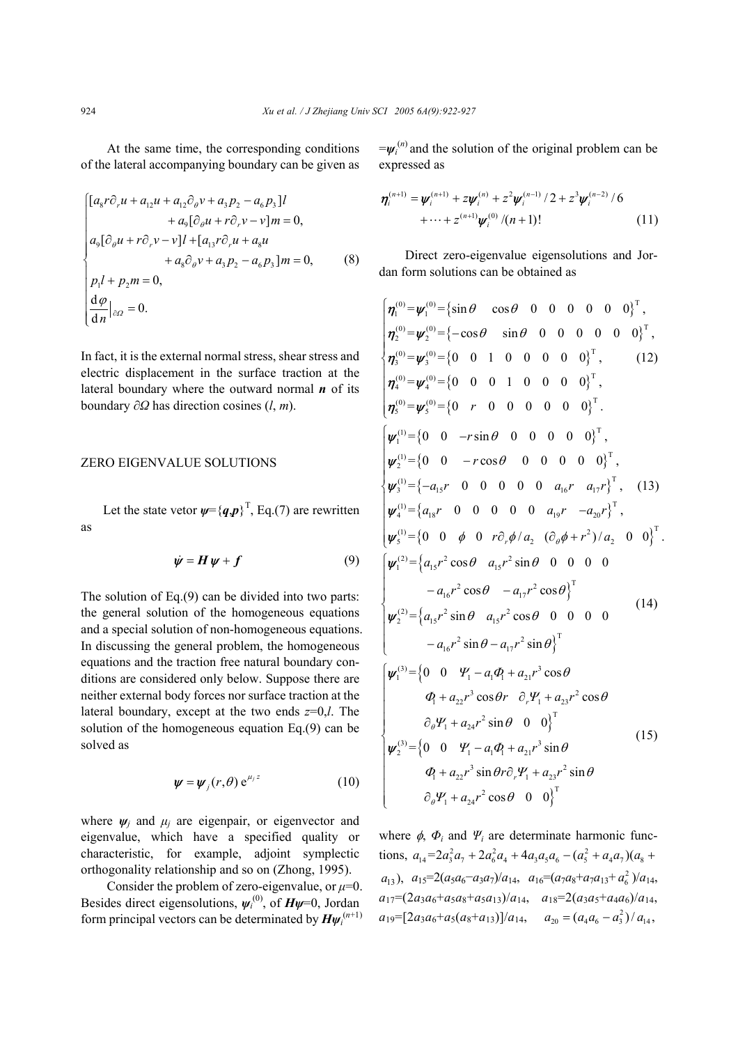At the same time, the corresponding conditions of the lateral accompanying boundary can be given as

$$
\begin{cases}\n[a_{8}r\partial_{r}u + a_{12}u + a_{12}\partial_{\theta}v + a_{3}p_{2} - a_{6}p_{3}]l \\
+ a_{9}[\partial_{\theta}u + r\partial_{r}v - v]m = 0, \\
a_{9}[\partial_{\theta}u + r\partial_{r}v - v]l + [a_{13}r\partial_{r}u + a_{8}u \\
+ a_{8}\partial_{\theta}v + a_{3}p_{2} - a_{6}p_{3}]m = 0, \\
p_{1}l + p_{2}m = 0, \\
\frac{d\varphi}{dn}|_{\partial\Omega} = 0.\n\end{cases}
$$
\n(8)

In fact, it is the external normal stress, shear stress and electric displacement in the surface traction at the lateral boundary where the outward normal *n* of its boundary ∂*Ω* has direction cosines (*l*, *m*).

### ZERO EIGENVALUE SOLUTIONS

Let the state vetor  $\psi = \{q, p\}^T$ , Eq.(7) are rewritten as

$$
\dot{\psi} = H\psi + f \tag{9}
$$

The solution of Eq.(9) can be divided into two parts: the general solution of the homogeneous equations and a special solution of non-homogeneous equations. In discussing the general problem, the homogeneous equations and the traction free natural boundary conditions are considered only below. Suppose there are neither external body forces nor surface traction at the lateral boundary, except at the two ends *z*=0,*l*. The solution of the homogeneous equation Eq.(9) can be solved as

$$
\psi = \psi_j(r,\theta) e^{\mu_j z} \tag{10}
$$

where  $\psi_i$  and  $\mu_i$  are eigenpair, or eigenvector and eigenvalue, which have a specified quality or characteristic, for example, adjoint symplectic orthogonality relationship and so on (Zhong, 1995).

Consider the problem of zero-eigenvalue, or  $\mu$ =0. Besides direct eigensolutions, *ψ<sup>i</sup>* (0), of *Hψ*=0, Jordan form principal vectors can be determinated by  $H\psi_i^{(n+1)}$ 

 $=\psi_i^{(n)}$  and the solution of the original problem can be expressed as

$$
\boldsymbol{\eta}_{i}^{(n+1)} = \boldsymbol{\psi}_{i}^{(n+1)} + z\boldsymbol{\psi}_{i}^{(n)} + z^{2}\boldsymbol{\psi}_{i}^{(n-1)}/2 + z^{3}\boldsymbol{\psi}_{i}^{(n-2)}/6
$$
  
+ ... +  $z^{(n+1)}\boldsymbol{\psi}_{i}^{(0)}/(n+1)!$  (11)

Direct zero-eigenvalue eigensolutions and Jordan form solutions can be obtained as

$$
\begin{cases}\n\eta_{1}^{(0)} = \psi_{1}^{(0)} = \{\sin \theta \quad \cos \theta \quad 0 \quad 0 \quad 0 \quad 0 \quad 0\}^{\mathrm{T}}, \\
\eta_{2}^{(0)} = \psi_{2}^{(0)} = \{-\cos \theta \quad \sin \theta \quad 0 \quad 0 \quad 0 \quad 0 \quad 0\}^{\mathrm{T}}, \\
\eta_{3}^{(0)} = \psi_{3}^{(0)} = \{0 \quad 0 \quad 1 \quad 0 \quad 0 \quad 0 \quad 0\}^{\mathrm{T}}, \\
\eta_{4}^{(0)} = \psi_{4}^{(0)} = \{0 \quad 0 \quad 1 \quad 0 \quad 0 \quad 0 \quad 0\}^{\mathrm{T}}, \\
\eta_{5}^{(0)} = \psi_{5}^{(0)} = \{0 \quad r \quad 0 \quad 0 \quad 0 \quad 0 \quad 0\}^{\mathrm{T}}, \\
\psi_{1}^{(1)} = \{0 \quad 0 \quad -r \sin \theta \quad 0 \quad 0 \quad 0 \quad 0 \quad 0\}^{\mathrm{T}}, \\
\psi_{2}^{(1)} = \{0 \quad 0 \quad -r \cos \theta \quad 0 \quad 0 \quad 0 \quad 0 \quad 0\}^{\mathrm{T}}, \\
\psi_{3}^{(1)} = \{-a_{15}r \quad 0 \quad 0 \quad 0 \quad 0 \quad 0 \quad a_{16}r \quad a_{17}r\}^{\mathrm{T}}, \quad (13) \\
\psi_{4}^{(1)} = \{a_{18}r \quad 0 \quad 0 \quad 0 \quad 0 \quad 0 \quad a_{19}r \quad -a_{20}r\}^{\mathrm{T}}, \\
\psi_{5}^{(1)} = \{0 \quad 0 \quad \phi \quad 0 \quad r \partial_{r} \phi / a_{2} \quad (\partial_{\theta} \phi + r^{2}) / a_{2} \quad 0 \quad 0\}^{\mathrm{T}}. \\
\psi_{5}^{(2)} = \{0 \quad 0 \quad \phi \quad 0 \quad r \partial_{r} \phi / a_{2} \quad (\partial_{\theta} \phi + r^{2}) / a_{2} \quad 0 \quad 0\}^{\mathrm{T}}. \\
\psi_{2}^{(2)} = \{a_{15}r^{2} \cos \theta \quad a_{15}r^{2} \sin \theta \quad 0 \quad 0 \quad 0 \quad 0 \quad -a_{16}r^{2} \sin \theta - a_{17}r^{
$$

where  $\phi$ ,  $\Phi$ <sup>*i*</sup> and  $\Psi$ <sup>*i*</sup> are determinate harmonic functions,  $a_{14} = 2a_3^2 a_7 + 2a_6^2 a_4 + 4a_3 a_5 a_6 - (a_5^2 + a_4 a_7)(a_8 +$  $a_{13}$ ,  $a_{15}=2(a_5a_6-a_3a_7)/a_{14}$ ,  $a_{16}=(a_7a_8+a_7a_{13}+a_6^2)/a_{14}$ ,  $a_{17} = (2a_3a_6 + a_5a_8 + a_5a_{13})/a_{14}$ ,  $a_{18} = 2(a_3a_5 + a_4a_6)/a_{14}$ ,  $a_{19}$ =[2*a*<sub>3</sub>*a*<sub>6</sub>+*a*<sub>5</sub>(*a*<sub>8</sub>+*a*<sub>13</sub>)]/*a*<sub>14</sub>,  $a_{20} = (a_4 a_6 - a_3^2) / a_{14}$ ,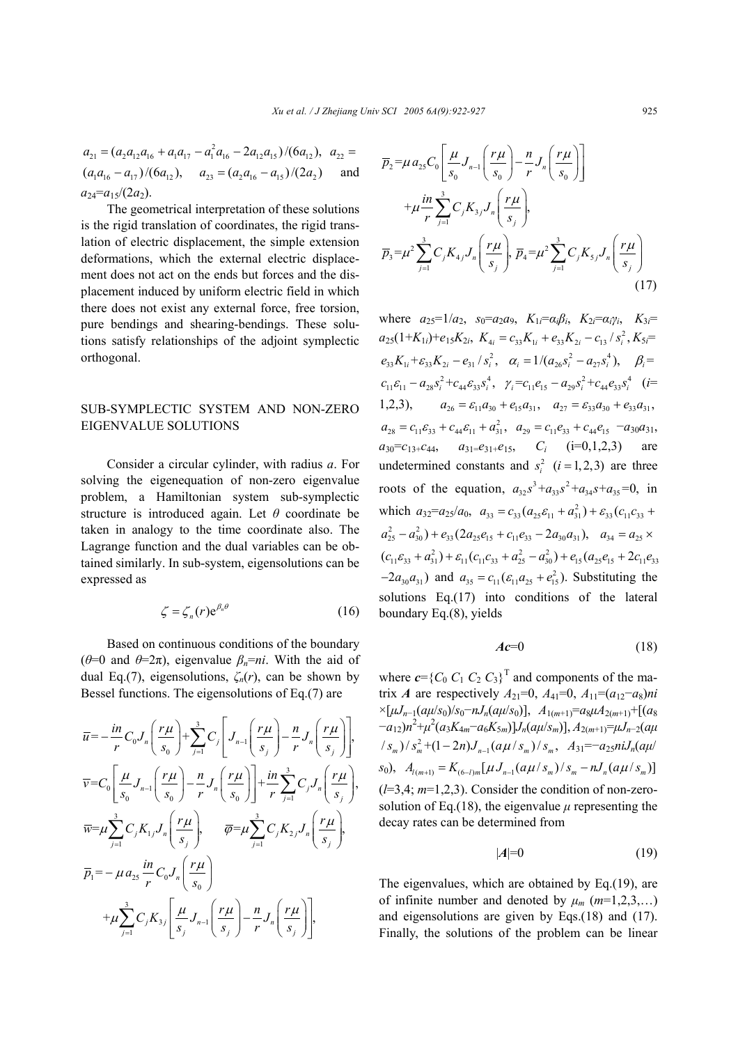$a_{21} = (a_2 a_{12} a_{16} + a_1 a_{17} - a_1^2 a_{16} - 2 a_{12} a_{15})/(6 a_{12}), a_{22} =$  $(a_1 a_{16} - a_{17})/(6 a_{12}), \quad a_{23} = (a_2 a_{16} - a_{15})/(2 a_2)$  and  $a_{24}=a_{15}/(2a_2)$ .

The geometrical interpretation of these solutions is the rigid translation of coordinates, the rigid translation of electric displacement, the simple extension deformations, which the external electric displacement does not act on the ends but forces and the displacement induced by uniform electric field in which there does not exist any external force, free torsion, pure bendings and shearing-bendings. These solutions satisfy relationships of the adjoint symplectic orthogonal.

# SUB-SYMPLECTIC SYSTEM AND NON-ZERO EIGENVALUE SOLUTIONS

Consider a circular cylinder, with radius *a*. For solving the eigenequation of non-zero eigenvalue problem, a Hamiltonian system sub-symplectic structure is introduced again. Let *θ* coordinate be taken in analogy to the time coordinate also. The Lagrange function and the dual variables can be obtained similarly. In sub-system, eigensolutions can be expressed as

$$
\zeta = \zeta_n(r) e^{\beta_n \theta} \tag{16}
$$

Based on continuous conditions of the boundary (*θ*=0 and *θ*=2π), eigenvalue *βn*=*ni*. With the aid of dual Eq.(7), eigensolutions, *ζn*(*r*), can be shown by Bessel functions. The eigensolutions of Eq.(7) are

$$
\overline{u} = -\frac{in}{r}C_0J_n\left(\frac{r\mu}{s_0}\right) + \sum_{j=1}^3 C_j\left[J_{n-1}\left(\frac{r\mu}{s_j}\right) - \frac{n}{r}J_n\left(\frac{r\mu}{s_j}\right)\right],
$$
\n
$$
\overline{v} = C_0\left[\frac{\mu}{s_0}J_{n-1}\left(\frac{r\mu}{s_0}\right) - \frac{n}{r}J_n\left(\frac{r\mu}{s_0}\right)\right] + \frac{in}{r}\sum_{j=1}^3 C_jJ_n\left(\frac{r\mu}{s_j}\right),
$$
\n
$$
\overline{w} = \mu\sum_{j=1}^3 C_jK_{1j}J_n\left(\frac{r\mu}{s_j}\right), \qquad \overline{\varphi} = \mu\sum_{j=1}^3 C_jK_{2j}J_n\left(\frac{r\mu}{s_j}\right),
$$
\n
$$
\overline{p}_1 = -\mu a_{25}\frac{in}{r}C_0J_n\left(\frac{r\mu}{s_0}\right)
$$
\n
$$
+ \mu\sum_{j=1}^3 C_jK_{3j}\left[\frac{\mu}{s_j}J_{n-1}\left(\frac{r\mu}{s_j}\right) - \frac{n}{r}J_n\left(\frac{r\mu}{s_j}\right)\right],
$$

$$
\overline{p}_{2} = \mu a_{25} C_{0} \left[ \frac{\mu}{s_{0}} J_{n-1} \left( \frac{r\mu}{s_{0}} \right) - \frac{n}{r} J_{n} \left( \frac{r\mu}{s_{0}} \right) \right] \n+ \mu \frac{in}{r} \sum_{j=1}^{3} C_{j} K_{3j} J_{n} \left( \frac{r\mu}{s_{j}} \right), \n\overline{p}_{3} = \mu^{2} \sum_{j=1}^{3} C_{j} K_{4j} J_{n} \left( \frac{r\mu}{s_{j}} \right), \overline{p}_{4} = \mu^{2} \sum_{j=1}^{3} C_{j} K_{5j} J_{n} \left( \frac{r\mu}{s_{j}} \right)
$$
\n(17)

where  $a_{25}=1/a_2$ ,  $s_0=a_2a_9$ ,  $K_{1i}=a_i\beta_i$ ,  $K_{2i}=a_i\gamma_i$ ,  $K_{3i}=$  $a_{25}(1+K_{1i})+e_{15}K_{2i}$ ,  $K_{4i}=c_{33}K_{1i}+e_{33}K_{2i}-c_{13}/s_i^2$ ,  $K_{5i}=$  $e_{33}K_{1i} + \varepsilon_{33}K_{2i} - e_{31}/s_i^2$ ,  $\alpha_i = 1/(a_{26}s_i^2 - a_{27}s_i^4)$ ,  $\beta_i =$  $c_{11} \varepsilon_{11} - a_{28} s_i^2 + c_{44} \varepsilon_{33} s_i^4$ ,  $\gamma_i = c_{11} e_{15} - a_{29} s_i^2 + c_{44} e_{33} s_i^4$  (*i*= 1,2,3),  $a_{26} = \varepsilon_{11} a_{30} + e_{15} a_{31}$ ,  $a_{27} = \varepsilon_{33} a_{30} + e_{33} a_{31}$ ,  $a_{28} = c_{11} \varepsilon_{33} + c_{44} \varepsilon_{11} + a_{31}^2$ ,  $a_{29} = c_{11} e_{33} + c_{44} e_{15} - a_{30} a_{31}$ ,  $a_{30} = c_{13} + c_{44}$ ,  $a_{31} = e_{31} + e_{15}$ ,  $C_i$  (i=0,1,2,3) are undetermined constants and  $s_i^2$  ( $i = 1,2,3$ ) are three roots of the equation,  $a_{32}s^3 + a_{33}s^2 + a_{34}s + a_{35} = 0$ , in which  $a_{32} = a_{25}/a_0$ ,  $a_{33} = c_{33}(a_{25}c_{11} + a_{31}^2) + c_{33}(c_{11}c_{33} + a_{31}c_{33})$  $a_{25}^2 - a_{30}^2$ ) +  $e_{33}$ (2 $a_{25}e_{15}$  +  $c_{11}e_{33}$  - 2 $a_{30}a_{31}$ ),  $a_{34} = a_{25}$  ×  $(c_{11}\varepsilon_{33} + a_{31}^2) + \varepsilon_{11}(c_{11}c_{33} + a_{25}^2 - a_{30}^2) + \varepsilon_{15}(a_{25}e_{15} + 2c_{11}e_{33}$  $-2a_{30}a_{31}$ ) and  $a_{35} = c_{11}(\varepsilon_{11}a_{25} + e_{15}^2)$ . Substituting the solutions Eq.(17) into conditions of the lateral boundary Eq.(8), yields

$$
Ac=0\tag{18}
$$

where  $c = \{C_0 \ C_1 \ C_2 \ C_3\}^T$  and components of the matrix *A* are respectively  $A_{21}=0$ ,  $A_{41}=0$ ,  $A_{11}=(a_{12}-a_8)ni$  $\times$ [ $\mu J_{n-1}(a\mu/s_0)/s_0-nJ_n(a\mu/s_0)$ ],  $A_{1(m+1)}=a_8\mu A_{2(m+1)}+[(a_8-\mu/s_0)]$  $(a_{12})n^2 + \mu^2(a_3K_{4m} - a_6K_{5m})]$ *J<sub>n</sub>*(*aµ*/*s<sub>m</sub>*)],  $A_{2(m+1)} = \mu J_{n-2}(a\mu)$  $\frac{1}{2}$   $S_m$   $\frac{1}{2}$   $\frac{2}{3}$  +  $\frac{1}{2}$   $\frac{1}{2}$   $\frac{2}{3}$   $\frac{1}{2}$   $\frac{1}{2}$   $\frac{2}{3}$   $\frac{1}{2}$   $\frac{2}{3}$   $\frac{1}{2}$   $\frac{3}{2}$   $\frac{3}{2}$   $\frac{3}{2}$   $\frac{3}{2}$   $\frac{3}{2}$   $\frac{3}{2}$   $\frac{3}{2}$   $\frac{3}{2}$   $\frac{3}{2}$   $\frac{$  $s_0$ ,  $A_{(m+1)} = K_{(6-n)m}[\mu J_{n-1}(a\mu/s_m)/s_m - nJ_n(a\mu/s_m)]$ (*l*=3,4; *m*=1,2,3). Consider the condition of non-zerosolution of Eq.(18), the eigenvalue  $\mu$  representing the decay rates can be determined from

$$
|A|=0 \tag{19}
$$

The eigenvalues, which are obtained by Eq.(19), are of infinite number and denoted by  $\mu_m$  ( $m=1,2,3,...$ ) and eigensolutions are given by Eqs.(18) and (17). Finally, the solutions of the problem can be linear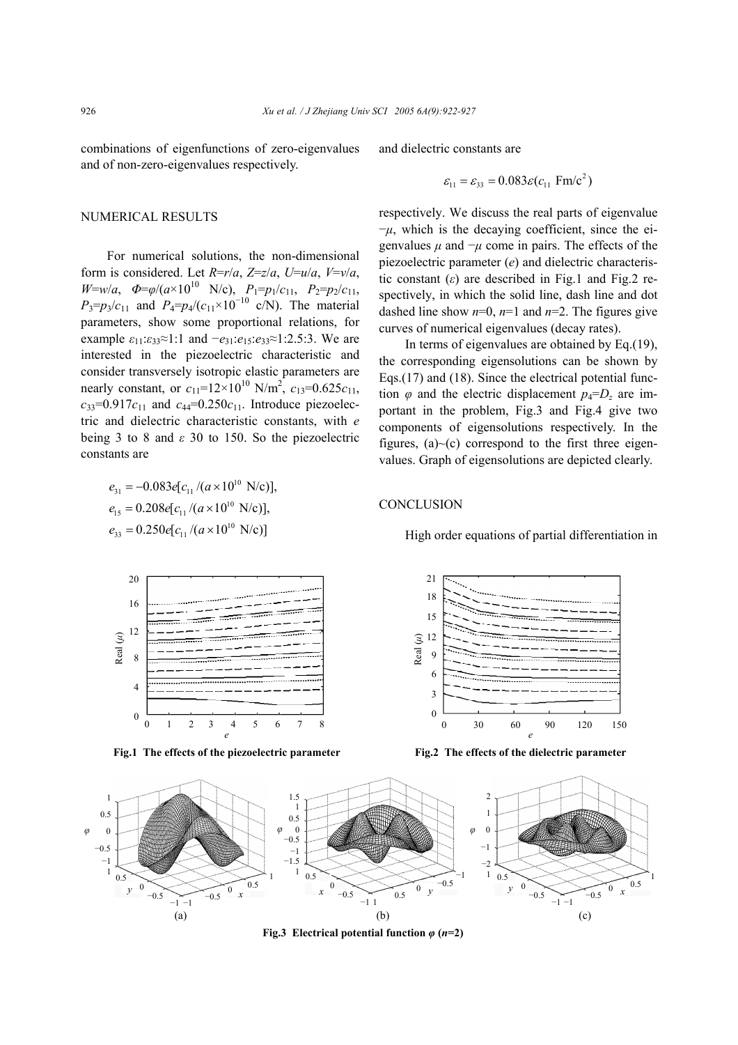combinations of eigenfunctions of zero-eigenvalues and of non-zero-eigenvalues respectively.

## NUMERICAL RESULTS

For numerical solutions, the non-dimensional form is considered. Let *R*=*r*/*a*, *Z*=*z*/*a*, *U*=*u*/*a*, *V*=*v*/*a*,  $W=w/a$ ,  $\Phi = \varphi/(a \times 10^{10} \text{ N/c})$ ,  $P_1=p_1/c_{11}$ ,  $P_2=p_2/c_{11}$ ,  $P_3 = p_3/c_{11}$  and  $P_4 = p_4/(c_{11} \times 10^{-10} \text{ c/N})$ . The material parameters, show some proportional relations, for example  $\varepsilon_{11}$ : $\varepsilon_{33} \approx 1$ :1 and  $-e_{31}$ : $e_{15}$ : $e_{33} \approx 1$ :2.5:3. We are interested in the piezoelectric characteristic and consider transversely isotropic elastic parameters are nearly constant, or  $c_{11} = 12 \times 10^{10}$  N/m<sup>2</sup>,  $c_{13} = 0.625c_{11}$ ,  $c_{33}=0.917c_{11}$  and  $c_{44}=0.250c_{11}$ . Introduce piezoelectric and dielectric characteristic constants, with *e* being 3 to 8 and *ε* 30 to 150. So the piezoelectric constants are

$$
e_{31} = -0.083e[c_{11}/(a \times 10^{10} \text{ N/c})],
$$
  
\n
$$
e_{15} = 0.208e[c_{11}/(a \times 10^{10} \text{ N/c})],
$$
  
\n
$$
e_{33} = 0.250e[c_{11}/(a \times 10^{10} \text{ N/c})]
$$



and dielectric constants are

$$
\varepsilon_{11} = \varepsilon_{33} = 0.083 \varepsilon (c_{11} \text{ Fm/c}^2)
$$

respectively. We discuss the real parts of eigenvalue −*µ*, which is the decaying coefficient, since the eigenvalues  $\mu$  and  $-\mu$  come in pairs. The effects of the piezoelectric parameter (*e*) and dielectric characteristic constant  $(\varepsilon)$  are described in Fig.1 and Fig.2 respectively, in which the solid line, dash line and dot dashed line show  $n=0$ ,  $n=1$  and  $n=2$ . The figures give curves of numerical eigenvalues (decay rates).

In terms of eigenvalues are obtained by Eq.(19), the corresponding eigensolutions can be shown by Eqs.(17) and (18). Since the electrical potential function  $\varphi$  and the electric displacement  $p_4 = D_z$  are important in the problem, Fig.3 and Fig.4 give two components of eigensolutions respectively. In the figures,  $(a)$   $\sim$  (c) correspond to the first three eigenvalues. Graph of eigensolutions are depicted clearly.

#### **CONCLUSION**

High order equations of partial differentiation in



**Fig.2 The effects of the dielectric parameter** 



**Fig.3 Electrical potential function** *φ* **(***n***=2)**